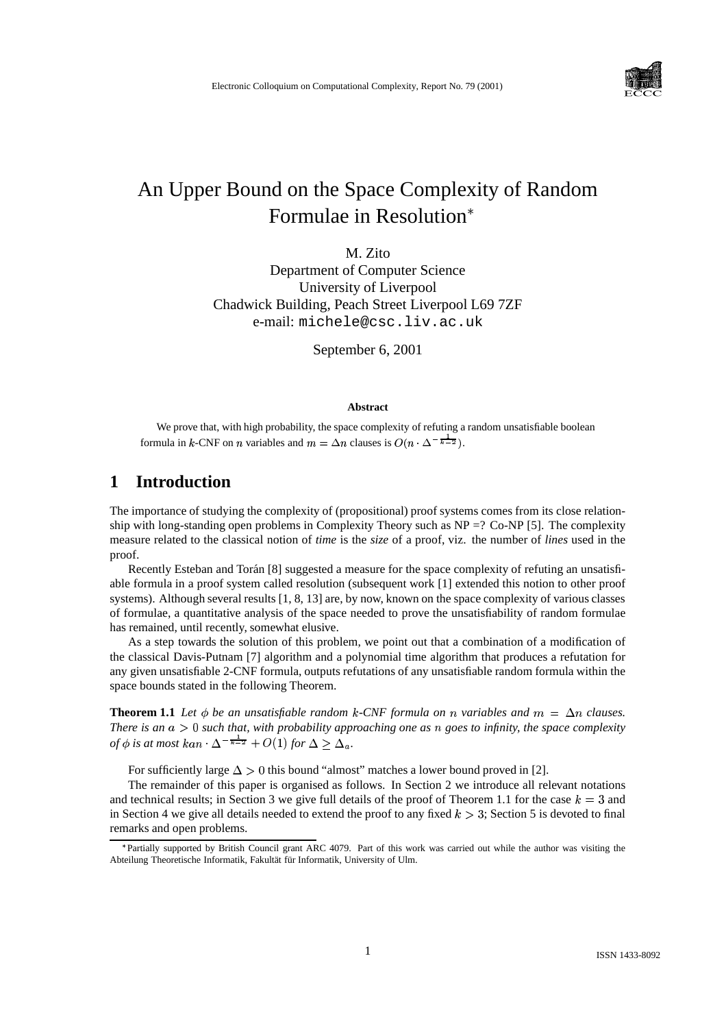

# An Upper Bound on the Space Complexity of Random Formulae in Resolution

M. Zito

Department of Computer Science University of Liverpool Chadwick Building, Peach Street Liverpool L69 7ZF e-mail: michele@csc.liv.ac.uk

September 6, 2001

#### **Abstract**

We prove that, with high probability, the space complexity of refuting a random unsatisfiable boolean formula in k-CNF on *n* variables and  $m = \Delta n$  clauses is  $O(n \cdot \Delta^{-\frac{1}{k-2}})$ .

## **1 Introduction**

The importance of studying the complexity of (propositional) proof systems comes from its close relationship with long-standing open problems in Complexity Theory such as NP =? Co-NP [5]. The complexity measure related to the classical notion of *time* is the *size* of a proof, viz. the number of *lines* used in the proof.

Recently Esteban and Torán [8] suggested a measure for the space complexity of refuting an unsatisfiable formula in a proof system called resolution (subsequent work [1] extended this notion to other proof systems). Although several results [1, 8, 13] are, by now, known on the space complexity of various classes of formulae, a quantitative analysis of the space needed to prove the unsatisfiability of random formulae has remained, until recently, somewhat elusive.

As a step towards the solution of this problem, we point out that a combination of a modification of the classical Davis-Putnam [7] algorithm and a polynomial time algorithm that produces a refutation for any given unsatisfiable 2-CNF formula, outputs refutations of any unsatisfiable random formula within the space bounds stated in the following Theorem.

**Theorem 1.1** Let  $\phi$  be an unsatisfiable random k-CNF formula on n variables and  $m = \Delta n$  clauses. *There is* an  $a > 0$  *such that,* with *probability approaching one as*  $n$  *goes to infinity, the space complexity of*  $\phi$  *is at most*  $kan \cdot \Delta^{-\frac{1}{k-2}} + O(1)$  for  $\Delta > \Delta_a$ .

For sufficiently large  $\Delta > 0$  this bound "almost" matches a lower bound proved in [2].

The remainder of this paper is organised as follows. In Section 2 we introduce all relevant notations and technical results; in Section 3 we give full details of the proof of Theorem 1.1 for the case  $k = 3$  and in Section 4 we give all details needed to extend the proof to any fixed  $k > 3$ ; Section 5 is devoted to final remarks and open problems.

<sup>\*</sup>Partially supported by British Council grant ARC 4079. Part of this work was carried out while the author was visiting the Abteilung Theoretische Informatik, Fakultät für Informatik, University of Ulm.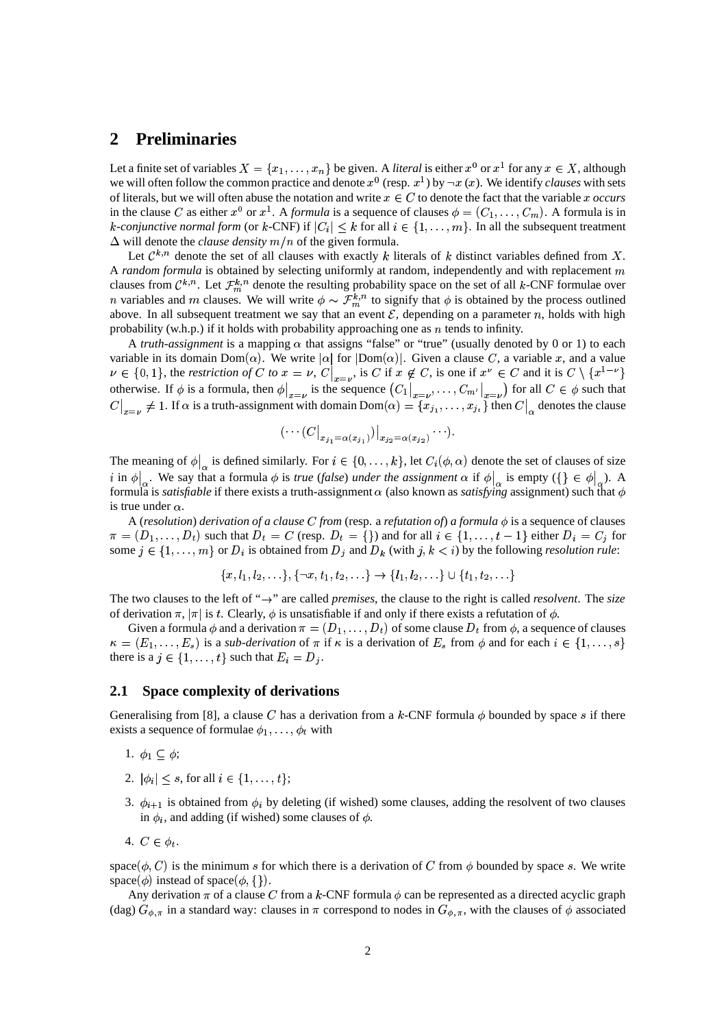## **2 Preliminaries**

Let a finite set of variables  $X = \{x_1, \ldots, x_n\}$  be given. A *literal* is either  $x^0$  or  $x^1$  for any  $x \in X$ , although we will often follow the common practice and denote  $x^0$  (resp.  $x^1$ ) by  $\neg x(x)$ . We identify *clauses* with sets of literals, but we will often abuse the notation and write  $x \in C$  to denote the fact that the variable x occurs in the clause C as either  $x^0$  or  $x^1$ . A *formula* is a sequence of clauses  $\phi = (C_1, \ldots, C_m)$ . A formula is in *k*-conjunctive normal form (or *k*-CNF) if  $|C_i| \leq k$  for all  $i \in \{1, ..., m\}$ . In all the subsequent treatment  $\Delta$  will denote the *clause density*  $m/n$  of the given formula.

Let  $\mathcal{C}^{k,n}$  denote the set of all clauses with exactly k literals of k distinct variables defined from X. A *random formula* is obtained by selecting uniformly at random, independently and with replacement m clauses from  $\mathcal{C}^{k,n}$ . Let  $\mathcal{F}_m^{k,n}$  denote the resulting probability space on the set of all k-CNF formulae over *n* variables and *m* clauses. We will write  $\phi \sim \mathcal{F}_m^{k,n}$  to signify that  $\phi$  is obtained by the process outlined above. In all subsequent treatment we say that an event  $\mathcal{E}$ , depending on a parameter n, holds with high probability (w.h.p.) if it holds with probability approaching one as  $n$  tends to infinity.

A *truth-assignment* is a mapping  $\alpha$  that assigns "false" or "true" (usually denoted by 0 or 1) to each variable in its domain  $Dom(\alpha)$ . We write  $|\alpha|$  for  $|Dom(\alpha)|$ . Given a clause C, a variable x, and a value  $\nu \in \{0,1\}$ , the *restriction* of C to  $x = \nu$ ,  $C\big|_{x=\nu}$ , is C if  $x \notin C$ , is one if  $x^{\nu} \in C$  and it is  $C \setminus \{x^{1-\nu}\}\$ otherwise. If  $\phi$  is a formula, then  $\phi|_{x=v}$  is the sequence  $(C_1|_{x=v}, \ldots, C_{m'}|_{x=v})$  for all  $C \in \phi$  such that  $C\big|_{x=\nu}\neq 1.$  If  $\alpha$  is a truth-assignment with domain  ${\rm Dom}(\alpha)=\{x_{j_1},\ldots,x_{j_t}\}$  then  $C\big|_\alpha$  denotes the clause

$$
(\cdots (C|_{x_{j_1}=\alpha(x_{j_1})})|_{x_{j_2}=\alpha(x_{j_2})}\cdots).
$$

The meaning of  $\phi|_{\alpha}$  is defined similarly. For  $i \in \{0, \ldots, k\}$ , let  $C_i(\phi, \alpha)$  denote the set of clauses of size  $i$  in  $\phi|_{\alpha}$ . We say that a formula  $\phi$  is *true* (*false*) *under the assignment*  $\alpha$  if  $\phi|_{\alpha}$  is empty ({}  $\in \phi|_{\alpha}$ ). A formula is *satisfiable* if there exists a truth-assignment  $\alpha$  (also known as *satisfying* assignment) such that  $\phi$ is true under  $\alpha$ .

A (resolution) derivation of a clause C from (resp. a refutation of) a formula  $\phi$  is a sequence of clauses  $\pi = (D_1, \ldots, D_t)$  such that  $D_t = C$  (resp.  $D_t = \{\}$ ) and for all  $i \in \{1, \ldots, t-1\}$  either  $D_i = C_j$  for some  $j \in \{1, \ldots, m\}$  or  $D_i$  is obtained from  $D_j$  and  $D_k$  (with  $j, k \lt i$ ) by the following *resolution rule*:

$$
\{x, l_1, l_2, \ldots\}, \{\neg x, t_1, t_2, \ldots\} \rightarrow \{l_1, l_2, \ldots\} \cup \{t_1, t_2, \ldots\}
$$

The two clauses to the left of  $\rightarrow$ " are called *premises*, the clause to the right is called *resolvent*. The *size* of derivation  $\pi$ ,  $|\pi|$  is t. Clearly,  $\phi$  is unsatisfiable if and only if there exists a refutation of  $\phi$ .

Given a formula  $\phi$  and a derivation  $\pi = (D_1, \ldots, D_t)$  of some clause  $D_t$  from  $\phi$ , a sequence of clauses  $\kappa = (E_1, \ldots, E_s)$  is a *sub-derivation* of  $\pi$  if  $\kappa$  is a derivation of  $E_s$  from  $\phi$  and for each  $i \in \{1, \ldots, s\}$ there is a  $j \in \{1, \ldots, t\}$  such that  $E_i = D_i$ .

#### **2.1 Space complexity of derivations**

Generalising from [8], a clause C has a derivation from a k-CNF formula  $\phi$  bounded by space s if there exists a sequence of formulae  $\phi_1, \dots, \phi_t$  with

- 1.  $\phi_1 \subseteq \phi;$
- 2.  $|\phi_i| \leq s$ , for all  $i \in \{1, ..., t\}$ ;
- 3.  $\phi_{i+1}$  is obtained from  $\phi_i$  by deleting (if wished) some clauses, adding the resolvent of two clauses in  $\phi_i$ , and adding (if wished) some clauses of  $\phi$ .
- 4.  $C \in \phi_t$ .

space  $(\phi, C)$  is the minimum s for which there is a derivation of C from  $\phi$  bounded by space s. We write space( $\phi$ ) instead of space( $\phi$ , {}).

Any derivation  $\pi$  of a clause C from a k-CNF formula  $\phi$  can be represented as a directed acyclic graph (dag)  $G_{\phi,\pi}$  in a standard way: clauses in  $\pi$  correspond to nodes in  $G_{\phi,\pi}$ , with the clauses of  $\phi$  associated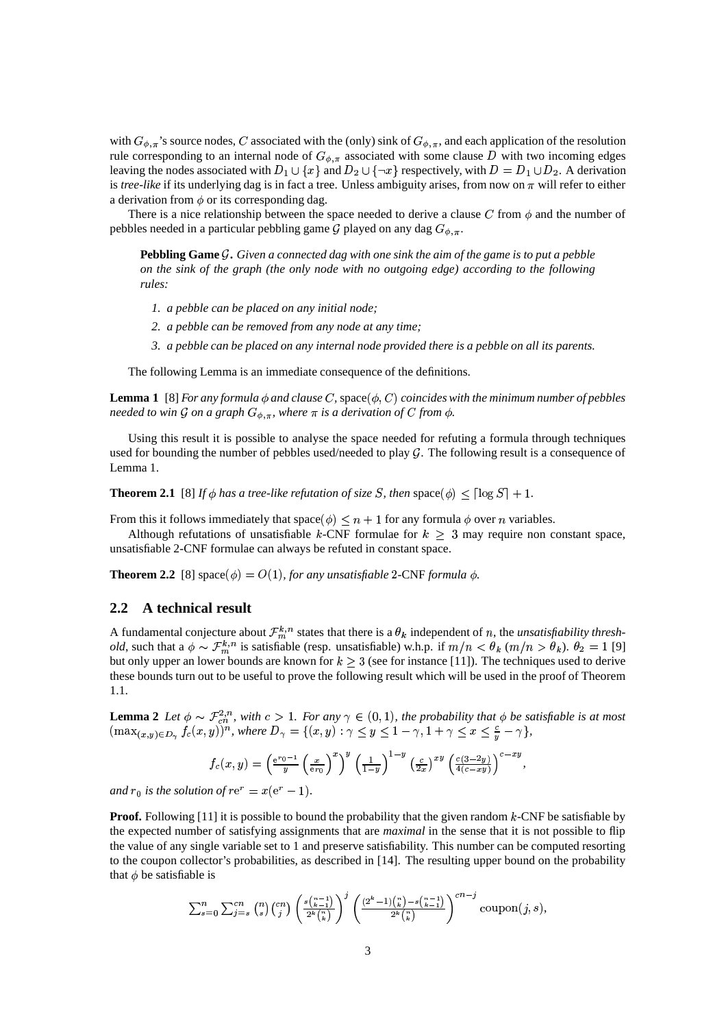with  $G_{\phi,\pi}$ 's source nodes, C associated with the (only) sink of  $G_{\phi,\pi}$ , and each application of the resolution rule corresponding to an internal node of  $G_{\phi,\pi}$  associated with some clause D with two incoming edges leaving the nodes associated with  $D_1 \cup \{x\}$  and  $D_2 \cup \{\neg x\}$  respectively, with  $D = D_1 \cup D_2$ . A derivation is *tree-like* if its underlying dag is in fact a tree. Unless ambiguity arises, from now on  $\pi$  will refer to either a derivation from  $\phi$  or its corresponding dag.

There is a nice relationship between the space needed to derive a clause C from  $\phi$  and the number of pebbles needed in a particular pebbling game  $\mathcal G$  played on any dag  $G_{\phi,\pi}$ .

Pebbling Game  $\mathcal G$ . Given a connected dag with one sink the aim of the game is to put a pebble *on the sink of the graph (the only node with no outgoing edge) according to the following rules:*

- *1. a pebble can be placed on any initial node;*
- *2. a pebble can be removed from any node at any time;*
- 3. a pebble can be placed on any internal node provided there is a pebble on all its parents.

The following Lemma is an immediate consequence of the definitions.

**Lemma 1** [8] *For any formula*  $\phi$  *and clause*  $C$ , space( $\phi$ ,  $C$ ) *coincides with the minimum number of pebbles*  $\alpha$  *needed to win*  $\mathcal G$  *on a graph*  $G_{\phi,\pi}$ *, where*  $\pi$  *is a derivation of*  $C$  *from*  $\phi$ *.* 

Using this result it is possible to analyse the space needed for refuting a formula through techniques used for bounding the number of pebbles used/needed to play  $G$ . The following result is a consequence of Lemma 1.

**Theorem 2.1** [8] *If*  $\phi$  *has a tree-like refutation of size S, then*  $\text{space}(\phi) \leq \lceil \log S \rceil + 1$ .

From this it follows immediately that space  $(\phi) \leq n + 1$  for any formula  $\phi$  over n variables.

Although refutations of unsatisfiable  $k$ -CNF formulae for  $k > 3$  may require non constant space, unsatisfiable 2-CNF formulae can always be refuted in constant space.

**Theorem 2.2** [8]  $space(\phi) = O(1)$ , *for any unsatisfiable* 2-CNF *formula*  $\phi$ *.* 

#### **2.2 A technical result**

A fundamental conjecture about  $\mathcal{F}_m^{k,n}$  states that there is a  $\theta_k$  independent of n, the *unsatisfiability threshold*, such that a  $\phi \sim \mathcal{F}_m^{k,n}$  is satisfiable (resp. unsatisfiable) w.h.p. if  $m/n < \theta_k$  ( $m/n > \theta_k$ ).  $\theta_2 = 1$  [9] but only upper an lower bounds are known for  $k \geq 3$  (see for instance [11]). The techniques used to derive these bounds turn out to be useful to prove the following result which will be used in the proof of Theorem 1.1.

**Lemma** 2 Let  $\phi \sim \mathcal{F}_{cn}^{2,n}$ , with  $c > 1$ . For any  $\gamma \in (0, 1)$ , the probability that  $\phi$  be satisfiable is at most  $(x,y) \in D_\gamma$   $f_c(x,y)$ )<sup>n</sup>, where  $D_\gamma = \{(x,y) : \gamma \leq y \leq 1-\gamma, 1+\gamma \leq x \leq \frac{c}{y}-\gamma\},$ 

$$
f_c(x,y) = \left(\frac{e^{r_0-1}}{y}\left(\frac{x}{er_0}\right)^x\right)^y \left(\frac{1}{1-y}\right)^{1-y}\left(\frac{c}{2x}\right)^{xy}\left(\frac{c(3-2y)}{4(c-xy)}\right)^{c-xy},
$$

and  $r_0$  is the solution of  $re^r = x(e^r - 1)$ .

**Proof.** Following [11] it is possible to bound the probability that the given random  $k$ -CNF be satisfiable by the expected number of satisfying assignments that are *maximal* in the sense that it is not possible to flip the value of any single variable set to 1 and preserve satisfiability. This number can be computed resorting to the coupon collector's probabilities, as described in [14]. The resulting upper bound on the probability that  $\phi$  be satisfiable is

$$
\sum_{s=0}^{n} \sum_{j=s}^{cn} \binom{n}{s} \binom{cn}{j} \left(\frac{s\binom{n-1}{k-1}}{2^k \binom{n}{k}}\right)^j \left(\frac{(2^k-1)\binom{n}{k}-s\binom{n-1}{k-1}}{2^k \binom{n}{k}}\right)^{cn-j} \text{coupon}(j,s),
$$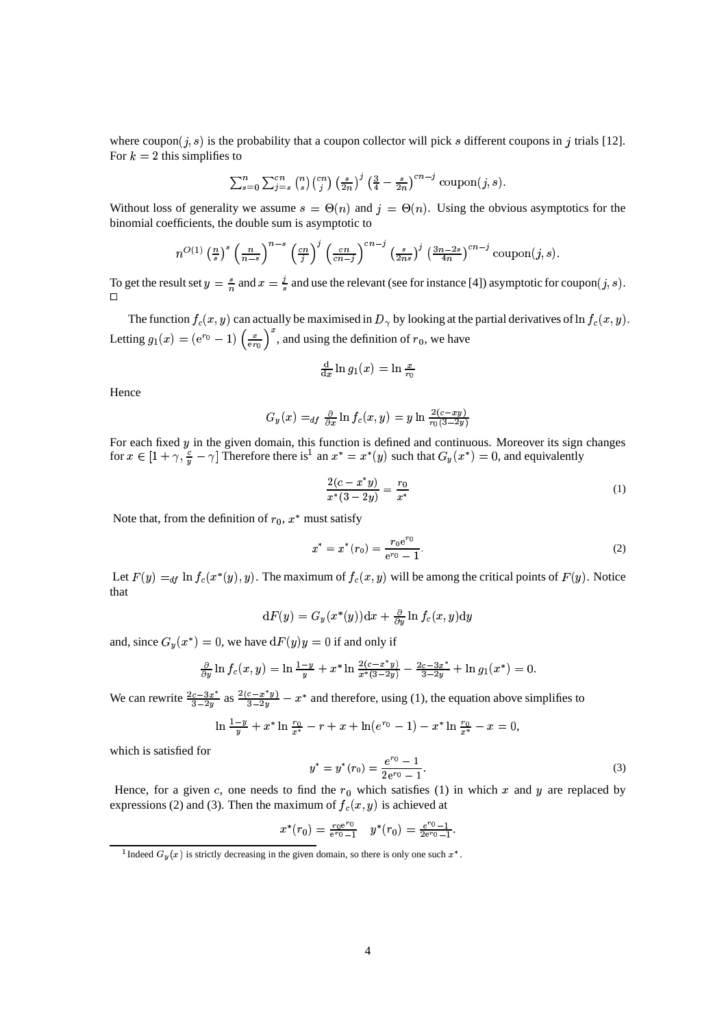where coupon(j, s) is the probability that a coupon collector will pick s different coupons in j trials [12]. For  $k = 2$  this simplifies to

$$
\sum_{s=0}^{n} \sum_{j=s}^{cn} {n \choose s} {cn \choose j} \left(\frac{s}{2n}\right)^j \left(\frac{3}{4} - \frac{s}{2n}\right)^{cn-j} \text{coupon}(j, s).
$$

Without loss of generality we assume  $s = \Theta(n)$  and  $j = \Theta(n)$ . Using the obvious asymptotics for the binomial coefficients, the double sum is asymptotic to

$$
n^{O(1)} \left(\frac{n}{s}\right)^s \left(\frac{n}{n-s}\right)^{n-s} \left(\frac{cn}{j}\right)^j \left(\frac{cn}{cn-j}\right)^{cn-j} \left(\frac{s}{2ns}\right)^j \left(\frac{3n-2s}{4n}\right)^{cn-j} \text{coupon}(j,s).
$$

To get the result set  $y = \frac{s}{n}$  and  $x = \frac{j}{s}$  and use the relevant (see for instance [4]) asymptotic for coupon  $(j, s)$ . 

The function  $f_c(x, y)$  can actually be maximised in  $D<sub>\gamma</sub>$  by looking at the partial derivatives of ln  $f_c(x, y)$ . Letting  $g_1(x) = (e^{r_0} - 1) \left(\frac{x}{e^{r_0}}\right)$ , and using the definition of  $r_0$ , we have

$$
\tfrac{\mathrm{d}}{\mathrm{d}x}\ln g_1(x)=\ln\tfrac{x}{r_0}
$$

Hence

$$
G_y(x) =_{df} \frac{\partial}{\partial x} \ln f_c(x, y) = y \ln \frac{2(c - xy)}{r_0(3 - 2y)}
$$

For each fixed  $y$  in the given domain, this function is defined and continuous. Moreover its sign changes for  $x \in [1 + \gamma, \frac{c}{y} - \gamma]$  Therefore there is<sup>1</sup> an  $x^* = x^*(y)$  such that  $G_y(x^*) = 0$ , and equivalently

$$
\frac{2(c - x^*y)}{x^*(3 - 2y)} = \frac{r_0}{x^*}
$$
 (1)

Note that, from the definition of  $r_0$ ,  $x^*$  must satisfy

$$
x^* = x^*(r_0) = \frac{r_0 e^{r_0}}{e^{r_0} - 1}.
$$
 (2)

Let  $F(y) =_{df} \ln f_c(x^*(y), y)$ . The maximum of  $f_c(x, y)$  will be among the critical points of  $F(y)$ . Notice that

$$
\mathrm{d}F(y)=G_y(x^*(y))\mathrm{d}x+\tfrac{\partial}{\partial y}\ln f_c(x,y)\mathrm{d}y
$$

and, since  $G_y(x^*) = 0$ , we have  $dF(y)y = 0$  if and only if

$$
\frac{\partial}{\partial y}\ln f_c(x,y) = \ln \frac{1-y}{y} + x^* \ln \frac{2(c-x^*y)}{x^*(3-2y)} - \frac{2c-3x^*}{3-2y} + \ln g_1(x^*) = 0.
$$

We can rewrite  $\frac{2c-3x^2}{3-2y}$  as  $\frac{2(c-x-y)}{3-2y}$  –  $x^*$  and therefore, using (1), the equation above simplifies to

$$
\ln \frac{1-y}{y} + x^* \ln \frac{r_0}{x^*} - r + x + \ln(e^{r_0} - 1) - x^* \ln \frac{r_0}{x^*} - x = 0,
$$

which is satisfied for

$$
y^* = y^*(r_0) = \frac{e^{r_0} - 1}{2e^{r_0} - 1}.
$$
\n(3)

Hence, for a given c, one needs to find the  $r_0$  which satisfies (1) in which x and y are replaced by expressions (2) and (3). Then the maximum of  $f_c(x, y)$  is achieved at

$$
x^*(r_0) = \frac{r_0 e^{r_0}}{e^{r_0} - 1} \quad y^*(r_0) = \frac{e^{r_0} - 1}{2e^{r_0} - 1}.
$$

<sup>&</sup>lt;sup>1</sup> Indeed  $G_y(x)$  is strictly decreasing in the given domain, so there is only one such  $x^*$ .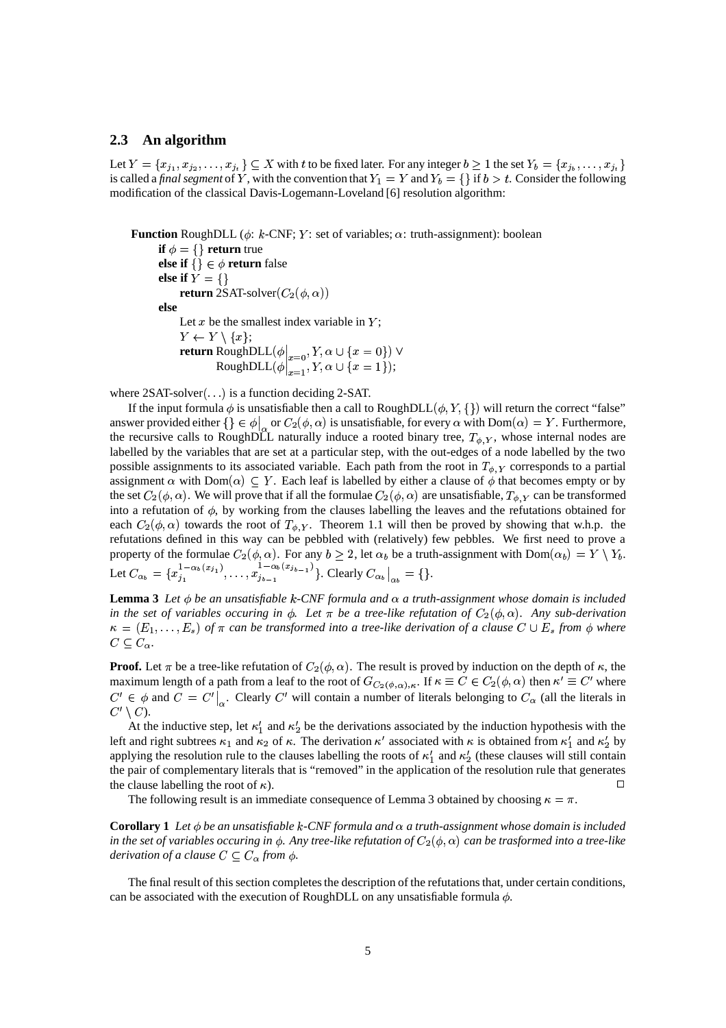#### **2.3 An algorithm**

Let  $Y = \{x_{j_1}, x_{j_2}, \ldots,$ <br>is called a final sequent Let  $Y = \{x_{j_1}, x_{j_2}, \ldots, x_{j_t}\} \subseteq X$  with  $t$  to be fixed later. For any integer  $b \ge 1$  the set  $Y_b = \{x_{j_b}, \ldots, x_{j_t}\}$  is called a *final segment* of  $Y$ , with the convention that  $Y_1 = Y$  and  $Y_b = \{\}$  if  $b > t$ . Consider t modification of the classical Davis-Logemann-Loveland [6] resolution algorithm:

**Function** RoughDLL ( $\phi$ :  $k$ -CNF;  $Y$ : set of variables;  $\alpha$ : truth-assignment): boolean

**if**  $\phi = \{\}$  **return** true **else if**  $\{ \} \in \phi$  **return** false **else** if  $\overline{Y} = \{\}$ **return** 2SAT-solver $(C_2(\phi, \alpha))$ **else** Let  $x$  be the smallest index variable in  $Y$ ;  $Y \leftarrow Y \setminus \{x\};$ **return** RoughDLL $(\phi|_{x=0}, Y, \alpha \cup \{x=0\}) \vee$  $\text{RoughDLL}(\phi \big|_{x=1}, Y, \alpha \cup \{x=1\});$ 

where  $2SAT-solver(\ldots)$  is a function deciding 2-SAT.

If the input formula  $\phi$  is unsatisfiable then a call to RoughDLL $(\phi, Y, \{\})$  will return the correct "false" answer provided either  $\{\}\in \phi\big|_{\alpha}$  or  $C_2(\phi,\alpha)$  is unsatisfiable, for every  $\alpha$  with  $Dom(\alpha) = Y$ . Furthermore, the recursive calls to RoughDLL naturally induce a rooted binary tree,  $T_{\phi,Y}$ , whose internal nodes are labelled by the variables that are set at a particular step, with the out-edges of a node labelled by the two possible assignments to its associated variable. Each path from the root in  $T_{\phi,Y}$  corresponds to a partial assignment  $\alpha$  with  $Dom(\alpha) \subseteq Y$ . Each leaf is labelled by either a clause of  $\phi$  that becomes empty or by the set  $C_2(\phi, \alpha)$ . We will prove that if all the formulae  $C_2(\phi, \alpha)$  are unsatisfiable,  $T_{\phi, Y}$  can be transformed into a refutation of  $\phi$ , by working from the clauses labelling the leaves and the refutations obtained for each  $C_2(\phi, \alpha)$  towards the root of  $T_{\phi, Y}$ . Theorem 1.1 will then be proved by showing that w.h.p. the refutations defined in this way can be pebbled with (relatively) few pebbles. We first need to prove a property of the formulae  $C_2(\phi, \alpha)$ . For any  $b \geq 2$ , let  $\alpha_b$  be a truth-assignment with  $Dom(\alpha_b) = Y \setminus Y_b$ . Let  $C_{\alpha_b} = \{x_{j_1}^{1-\alpha_b(x_{j_1})}, \ldots, x_{j_{b-1}}^{1-\alpha_b(x_{j_b-1})}\}$  $\left\{ \sum_{b=1}^{1-\alpha_b} a_{b} a_{b-1} \right\}$ . Clearly  $C_{\alpha_b} \big|_{\alpha_b} = \{\}.$ 

**Lemma** 3 Let  $\phi$  be an unsatisfiable  $k$ -CNF formula and  $\alpha$  a truth-assignment whose domain is included *in the set of variables occuring in*  $\phi$ *. Let*  $\pi$  *be a tree-like refutation of*  $C_2(\phi, \alpha)$ *. Any sub-derivation*  $\kappa = (E_1, \ldots, E_s)$  of  $\pi$  can be transformed into a tree-like derivation of a clause  $C \cup E_s$  from  $\phi$  where  $C \subseteq C_{\alpha}$ .

**Proof.** Let  $\pi$  be a tree-like refutation of  $C_2(\phi,\alpha)$ . The result is proved by induction on the depth of  $\kappa$ , the maximum length of a path from a leaf to the root of  $G_{C_2(\phi,\alpha),\kappa}$ . If  $\kappa \equiv C \in C_2(\phi,\alpha)$  then  $\kappa' \equiv C'$  where  $C' \in \phi$  and  $C = C' \big|_{\alpha}$ . Clearly C' will contain a number of literals belonging to  $C_{\alpha}$  (all the literals in  $C' \setminus C$ ).

At the inductive step, let  $\kappa'_1$  and  $\kappa'_2$  be the derivations associated by the induction hypothesis with the left and right subtrees  $\kappa_1$  and  $\kappa_2$  of  $\kappa$ . The derivation  $\kappa'$  associated with  $\kappa$  is obtained from  $\kappa'_1$  and  $\kappa'_2$  by applying the resolution rule to the clauses labelling the roots of  $\kappa'_1$  and  $\kappa'_2$  (these clauses will still contain the pair of complementary literals that is "removed" in the application of the resolution rule that generates the clause labelling the root of  $\kappa$ ). ).  $\Box$ 

The following result is an immediate consequence of Lemma 3 obtained by choosing  $\kappa = \pi$ .

**Corollary** 1 Let  $\phi$  be an unsatisfiable k-CNF formula and  $\alpha$  a truth-assignment whose domain is included in the set of variables occuring in  $\phi$ . Any tree-like refutation of  $C_2(\phi, \alpha)$  can be trasformed into a tree-like *derivation of a clause*  $C \subseteq C_{\alpha}$  *from*  $\phi$ *.* 

The final result of this section completes the description of the refutations that, under certain conditions, can be associated with the execution of RoughDLL on any unsatisfiable formula  $\phi$ .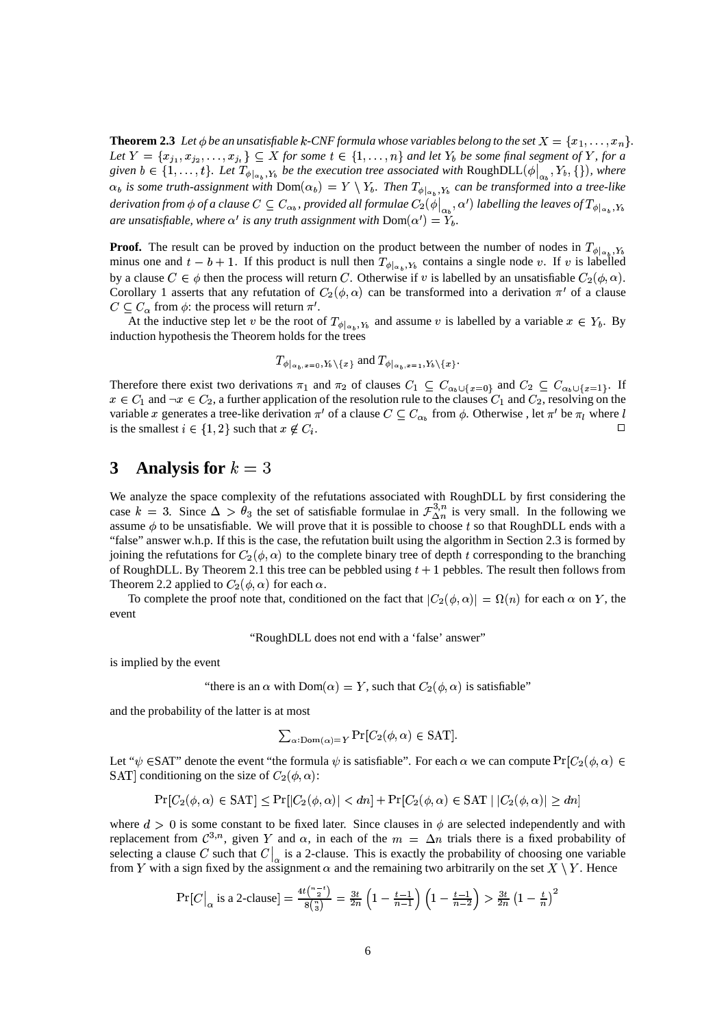**Theorem 2.3** Let  $\phi$  be an unsatisfiable k-CNF formula whose variables belong to the set  $X = \{x_1, \ldots, x_n\}$ . Let  $Y = \{x_{j_1}, x_{j_2}, \ldots$ <br>*given*  $h \in \{1, \ldots, n\}$  $(x_1, x_2, \ldots, x_n) \subseteq X$  for some  $t \in \{1, \ldots, n\}$  and let  $Y_b$  be some final segment of Y, for a given  $b \in \{1, \ldots, t\}$ . Let  $T_{\phi|_{\alpha_k}, Y_b}$  be the execution tree associated with RoughDLL $(\phi|_{\alpha_k}, Y_b, \{\})$ , where  $\alpha_b$  is some truth-assignment with  $\text{Dom}(\alpha_b) = Y \setminus Y_b$ . Then  $T_{\phi|_{\alpha_b},Y_b}$  can be transformed into a tree-like derivation from  $\phi$  of a clause  $C\subseteq C_{\alpha_b}$ , provided all formulae  $C_2(\phi|_{\alpha_b},\alpha')$  labelling the leaves of  $T_{\phi|_{\alpha_b},Y_b}$ are unsatisfiable, where  $\alpha'$  is any truth assignment with  $\text{Dom}(\alpha') = Y_b$ . *.*

**Proof.** The result can be proved by induction on the product between the number of nodes in  $T_{\phi|_{\alpha_1}, Y_b}$ minus one and  $t - b + 1$ . If this product is null then  $T_{\phi|_{\alpha_1}, Y_b}$  contains a single node v. If v is labelled by a clause  $C \in \phi$  then the process will return C. Otherwise if v is labelled by an unsatisfiable  $C_2(\phi, \alpha)$ . by a clause  $C \in \phi$  then the process will return C. Otherwise if v is labelled by an unsatisfiable  $C_2(\phi, \alpha)$ .<br>Corollary 1 asserts that any refutation of  $C_2(\phi, \alpha)$  can be transformed into a derivation  $\pi'$  of a clause  $C \subseteq C_{\alpha}$  from  $\phi$ : the process will return  $\pi'$ .

At the inductive step let v be the root of  $T_{\phi|_{\alpha_k}, Y_b}$  and assume v is labelled by a variable  $x \in Y_b$ . By induction hypothesis the Theorem holds for the trees

$$
T_{\phi|_{\alpha_b},x=0},Y_b\setminus\{x\}
$$
 and  $T_{\phi|_{\alpha_b},x=1},Y_b\setminus\{x\}$ .

Therefore there exist two derivations  $\pi_1$  and  $\pi_2$  of clauses  $C_1 \subseteq C_{\alpha_b \cup \{x=0\}}$  and  $C_2 \subseteq C_{\alpha_b \cup \{x=1\}}$ . If  $x \in C_1$  and  $\neg x \in C_2$ , a further application of the resolution rule to the clauses  $C_1$  and  $C_2$ , resolving on the variable x generates a tree-like derivation  $\pi'$  of a clause  $C \subseteq C_{\alpha_b}$  from  $\phi$ . Otherwise , let  $\pi'$  be  $\pi_l$  where l is the smallest  $i \in \{1,2\}$  such that  $x \notin C_i$ .

## **3 Analysis** for  $k = 3$

We analyze the space complexity of the refutations associated with RoughDLL by first considering the case  $k = 3$ . Since  $\Delta > \theta_3$  the set of satisfiable formulae in  $\mathcal{F}_{\Delta n}^{3,n}$  is very small. In the following we assume  $\phi$  to be unsatisfiable. We will prove that it is possible to choose t so that RoughDLL ends with a "false" answer w.h.p. If this is the case, the refutation built using the algorithm in Section 2.3 is formed by joining the refutations for  $C_2(\phi, \alpha)$  to the complete binary tree of depth t corresponding to the branching of RoughDLL. By Theorem 2.1 this tree can be pebbled using  $t + 1$  pebbles. The result then follows from Theorem 2.2 applied to  $C_2(\phi, \alpha)$  for each  $\alpha$ .

To complete the proof note that, conditioned on the fact that  $|C_2(\phi, \alpha)| = \Omega(n)$  for each  $\alpha$  on Y, the event

"RoughDLL does not end with a 'false' answer"

is implied by the event

"there is an  $\alpha$  with  $Dom(\alpha) = Y$ , such that  $C_2(\phi, \alpha)$  is satisfiable"

and the probability of the latter is at most

$$
\sum_{\alpha:\mathrm{Dom}(\alpha)=Y} \Pr[C_2(\phi,\alpha) \in \mathrm{SAT}].
$$

Let " $\psi$   $\in$  SAT" denote the event "the formula  $\psi$  is satisfiable". For each  $\alpha$  we can compute  $Pr[C_2(\phi, \alpha) \in$ SAT] conditioning on the size of  $C_2(\phi, \alpha)$ :

$$
Pr[C_2(\phi, \alpha) \in SAT] \leq Pr[|C_2(\phi, \alpha)| < d\eta] + Pr[C_2(\phi, \alpha) \in SAT \mid |C_2(\phi, \alpha)| \geq d\eta]
$$

where  $d > 0$  is some constant to be fixed later. Since clauses in  $\phi$  are selected independently and with replacement from  $\mathcal{C}^{3,n}$ , given Y and  $\alpha$ , in each of the  $m = \Delta n$  trials there is a fixed probability of selecting a clause C such that  $C|_{\alpha}$  is a 2-clause. This is exactly the probability of choosing one variable from Y with a sign fixed by the assignment  $\alpha$  and the remaining two arbitrarily on the set  $X \setminus Y$ . Hence

$$
\Pr[C|_{\alpha} \text{ is a 2-clause}] = \frac{4t\binom{n-t}{2}}{8\binom{n}{3}} = \frac{3t}{2n} \left(1 - \frac{t-1}{n-1}\right) \left(1 - \frac{t-1}{n-2}\right) > \frac{3t}{2n} \left(1 - \frac{t}{n}\right)^2
$$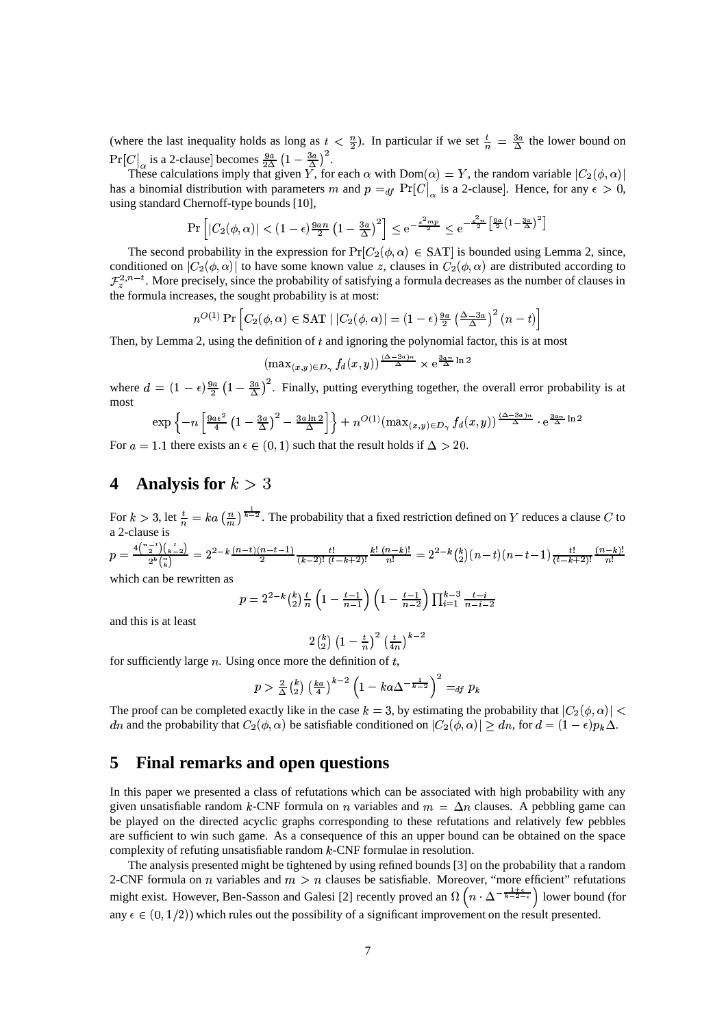(where the last inequality holds as long as  $t < \frac{n}{2}$ ). In particular if we set  $\frac{t}{n} = \frac{3a}{\Delta}$  the lower bound on  $\Pr[C]_{\alpha}$  is a 2-clause becomes  $\frac{9a}{2\Delta} \left(1 - \frac{3a}{\Delta}\right)^2$ .

These calculations imply that given Y, for each  $\alpha$  with  $Dom(\alpha) = Y$ , the random variable  $|C_2(\phi, \alpha)|$ has a binomial distribution with parameters m and  $p =_{df} \Pr[C|_{\alpha}]$  is a 2-clause. Hence, for any  $\epsilon > 0$ , using standard Chernoff-type bounds [10],

$$
\Pr\left[|C_2(\phi,\alpha)| < (1-\epsilon)\frac{9an}{2}\left(1-\frac{3a}{\Delta}\right)^2\right] \le e^{-\frac{\epsilon^2 m p}{2}} \le e^{-\frac{\epsilon^2 n}{2}\left[\frac{9a}{2}\left(1-\frac{3a}{\Delta}\right)^2\right]}
$$

The second probability in the expression for  $Pr[C_2(\phi, \alpha) \in SAT]$  is bounded using Lemma 2, since, conditioned on  $|C_2(\phi, \alpha)|$  to have some known value z, clauses in  $C_2(\phi, \alpha)$  are distributed according to  $\mathcal{F}_{z}^{2,n-t}$ . More precisely, since the probability of satisfying a formula decreases as the number of clauses in the formula increases, the sought probability is at most:

$$
n^{O(1)} \Pr \left[ C_2(\phi, \alpha) \in \text{SAT} \mid |C_2(\phi, \alpha)| = (1 - \epsilon) \frac{9a}{2} \left( \frac{\Delta - 3a}{\Delta} \right)^2 (n - t) \right]
$$

Then, by Lemma 2, using the definition of  $t$  and ignoring the polynomial factor, this is at most

$$
(\max_{(x,y)\in D_{\gamma}} f_d(x,y))^{\frac{(\Delta-3a)n}{\Delta}} \times e^{\frac{3an}{\Delta}\ln 2}
$$

where  $d = (1 - \epsilon) \frac{9a}{2} (1 - \frac{3a}{\Delta})^2$ . Finally, putting everything together, the overall error probability is at most

$$
\exp\left\{-n\left[\tfrac{9a\epsilon^2}{4}\left(1-\tfrac{3a}{\Delta}\right)^2-\tfrac{3a\ln 2}{\Delta}\right]\right\}+n^{O(1)}(\max_{(x,y)\in D_\gamma}f_d(x,y))^{\tfrac{(\Delta-3a)n}{\Delta}}\cdot e^{\tfrac{3an}{\Delta}\ln 2}
$$

For  $a = 1.1$  there exists an  $\epsilon \in (0, 1)$  such that the result holds if  $\Delta > 20$ .

## **4 Analysis for**  $k > 3$

For  $k > 3$ , let  $\frac{t}{n} = ka\left(\frac{n}{m}\right)^{\frac{1}{k-2}}$ . The probability that a fixed restriction defined on Y reduces a clause C to a 2-clause is  $4 \binom{n-t}{s} \binom{t}{s}$  .  $\overline{n!}$ 

+  $\frac{2^{2} \sqrt{k-27}}{2^{k} \binom{n}{2}} = 2^{2-k} \frac{(n-i)(n-i-1)}{2}$  $\frac{1}{2}$   $\frac{(h-i-1)}{(k-2)!}$  $\frac{-11}{(1 - 8)!}$  $\sim$   $\sim$  $(k-2)!$   $(t-k+2)!$   $\boxed{n!}$  $\frac{(n-k)!}{n!} = 2^{2-k}$  $\frac{n-k!}{n!} = 2^{2-k} {k \choose 2} (n-t)(n-t-1) \frac{t!}{(t-k+2)!} \frac{(n-k)!}{n!}$ 

which can be rewritten as

$$
p = 2^{2-k} {k \choose 2} \frac{t}{n} \left( 1 - \frac{t-1}{n-1} \right) \left( 1 - \frac{t-1}{n-2} \right) \prod_{i=1}^{k-3} \frac{t-i}{n-i-2}
$$

and this is at least

$$
2\tbinom{k}{2}\left(1-\tfrac{t}{n}\right)^2\left(\tfrac{t}{4n}\right)^{k-2}
$$

for sufficiently large  $n$ . Using once more the definition of  $t$ ,

$$
p > \frac{2}{\Delta} {k \choose 2} \left(\frac{k_a}{4}\right)^{k-2} \left(1 - ka\Delta^{-\frac{1}{k-2}}\right)^2 =_{df} p_k
$$

The proof can be completed exactly like in the case  $k = 3$ , by estimating the probability that  $|C_2(\phi, \alpha)| <$ dn and the probability that  $C_2(\phi, \alpha)$  be satisfiable conditioned on  $|C_2(\phi, \alpha)| \geq dn$ , for  $d = (1 - \epsilon)p_k\Delta$ .

### **5 Final remarks and open questions**

In this paper we presented a class of refutations which can be associated with high probability with any given unsatisfiable random k-CNF formula on *n* variables and  $m = \Delta n$  clauses. A pebbling game can be played on the directed acyclic graphs corresponding to these refutations and relatively few pebbles are sufficient to win such game. As a consequence of this an upper bound can be obtained on the space complexity of refuting unsatisfiable random  $k$ -CNF formulae in resolution.

The analysis presented might be tightened by using refined bounds [3] on the probability that a random 2-CNF formula on *n* variables and  $m > n$  clauses be satisfiable. Moreover, "more efficient" refutations might exist. However, Ben-Sasson and Galesi [2] recently proved an  $\Omega$   $\left(n \cdot \Delta^{-\frac{1}{k-2-\epsilon}}\right)$  lower bound (for any  $\epsilon \in (0, 1/2)$ ) which rules out the possibility of a significant improvement on the result presented.